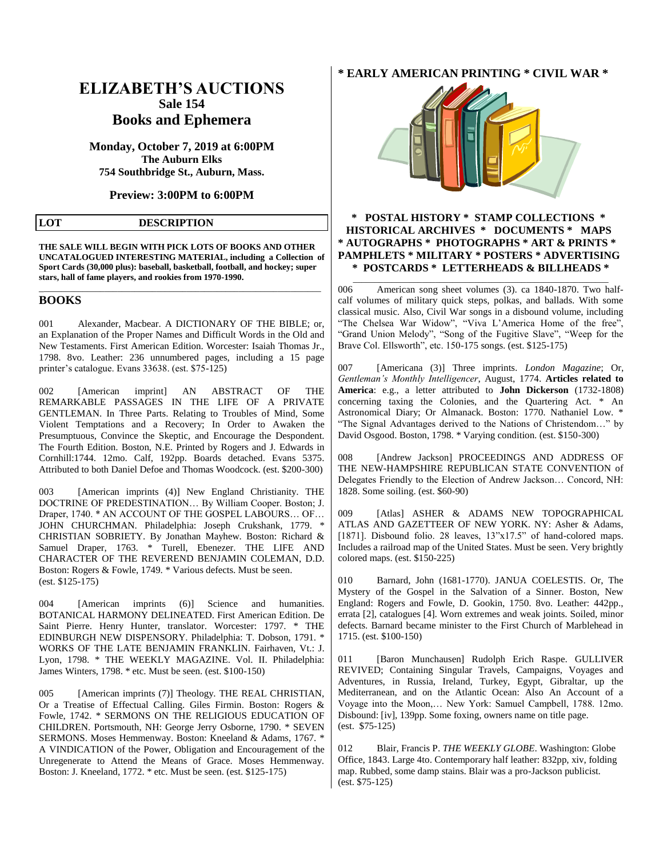# **ELIZABETH'S AUCTIONS Sale 154 Books and Ephemera**

**Monday, October 7, 2019 at 6:00PM The Auburn Elks 754 Southbridge St., Auburn, Mass.**

**Preview: 3:00PM to 6:00PM**

## **LOT DESCRIPTION**

**THE SALE WILL BEGIN WITH PICK LOTS OF BOOKS AND OTHER UNCATALOGUED INTERESTING MATERIAL, including a Collection of Sport Cards (30,000 plus): baseball, basketball, football, and hockey; super stars, hall of fame players, and rookies from 1970-1990.** 

\_\_\_\_\_\_\_\_\_\_\_\_\_\_\_\_\_\_\_\_\_\_\_\_\_\_\_\_\_\_\_\_\_\_\_\_\_\_\_\_\_\_\_\_\_\_\_\_\_\_\_\_\_\_\_\_\_\_\_\_\_\_\_\_\_

## **BOOKS**

001 Alexander, Macbear. A DICTIONARY OF THE BIBLE; or, an Explanation of the Proper Names and Difficult Words in the Old and New Testaments. First American Edition. Worcester: Isaiah Thomas Jr., 1798. 8vo. Leather: 236 unnumbered pages, including a 15 page printer's catalogue. Evans 33638. (est. \$75-125)

002 [American imprint] AN ABSTRACT OF THE REMARKABLE PASSAGES IN THE LIFE OF A PRIVATE GENTLEMAN. In Three Parts. Relating to Troubles of Mind, Some Violent Temptations and a Recovery; In Order to Awaken the Presumptuous, Convince the Skeptic, and Encourage the Despondent. The Fourth Edition. Boston, N.E. Printed by Rogers and J. Edwards in Cornhill:1744. 12mo. Calf, 192pp. Boards detached. Evans 5375. Attributed to both Daniel Defoe and Thomas Woodcock. (est. \$200-300)

003 [American imprints (4)] New England Christianity. THE DOCTRINE OF PREDESTINATION… By William Cooper. Boston; J. Draper, 1740. \* AN ACCOUNT OF THE GOSPEL LABOURS… OF… JOHN CHURCHMAN. Philadelphia: Joseph Crukshank, 1779. \* CHRISTIAN SOBRIETY. By Jonathan Mayhew. Boston: Richard & Samuel Draper, 1763. \* Turell, Ebenezer. THE LIFE AND CHARACTER OF THE REVEREND BENJAMIN COLEMAN, D.D. Boston: Rogers & Fowle, 1749. \* Various defects. Must be seen. (est. \$125-175)

004 [American imprints (6)] Science and humanities. BOTANICAL HARMONY DELINEATED. First American Edition. De Saint Pierre. Henry Hunter, translator. Worcester: 1797. \* THE EDINBURGH NEW DISPENSORY. Philadelphia: T. Dobson, 1791. \* WORKS OF THE LATE BENJAMIN FRANKLIN. Fairhaven, Vt.: J. Lyon, 1798. \* THE WEEKLY MAGAZINE. Vol. II. Philadelphia: James Winters, 1798. \* etc. Must be seen. (est. \$100-150)

005 [American imprints (7)] Theology. THE REAL CHRISTIAN, Or a Treatise of Effectual Calling. Giles Firmin. Boston: Rogers & Fowle, 1742. \* SERMONS ON THE RELIGIOUS EDUCATION OF CHILDREN. Portsmouth, NH: George Jerry Osborne, 1790. \* SEVEN SERMONS. Moses Hemmenway. Boston: Kneeland & Adams, 1767. \* A VINDICATION of the Power, Obligation and Encouragement of the Unregenerate to Attend the Means of Grace. Moses Hemmenway. Boston: J. Kneeland, 1772. \* etc. Must be seen. (est. \$125-175)

# **\* EARLY AMERICAN PRINTING \* CIVIL WAR \***



## **\* POSTAL HISTORY \* STAMP COLLECTIONS \* HISTORICAL ARCHIVES \* DOCUMENTS \* MAPS \* AUTOGRAPHS \* PHOTOGRAPHS \* ART & PRINTS \* PAMPHLETS \* MILITARY \* POSTERS \* ADVERTISING \* POSTCARDS \* LETTERHEADS & BILLHEADS \***

\_\_\_\_\_\_\_\_\_\_\_\_\_\_\_\_\_\_\_\_\_\_\_\_\_\_\_\_\_\_\_\_\_\_\_\_\_\_\_\_\_\_\_\_\_\_\_\_\_\_\_\_\_\_\_\_\_\_\_

006 American song sheet volumes (3). ca 1840-1870. Two halfcalf volumes of military quick steps, polkas, and ballads. With some classical music. Also, Civil War songs in a disbound volume, including "The Chelsea War Widow", "Viva L'America Home of the free", "Grand Union Melody", "Song of the Fugitive Slave", "Weep for the Brave Col. Ellsworth", etc. 150-175 songs. (est. \$125-175)

007 [Americana (3)] Three imprints. *London Magazine*; Or, *Gentleman's Monthly Intelligencer*, August, 1774. **Articles related to America**: e.g., a letter attributed to **John Dickerson** (1732-1808) concerning taxing the Colonies, and the Quartering Act. \* An Astronomical Diary; Or Almanack. Boston: 1770. Nathaniel Low. \* "The Signal Advantages derived to the Nations of Christendom…" by David Osgood. Boston, 1798. \* Varying condition. (est. \$150-300)

008 [Andrew Jackson] PROCEEDINGS AND ADDRESS OF THE NEW-HAMPSHIRE REPUBLICAN STATE CONVENTION of Delegates Friendly to the Election of Andrew Jackson… Concord, NH: 1828. Some soiling. (est. \$60-90)

009 [Atlas] ASHER & ADAMS NEW TOPOGRAPHICAL ATLAS AND GAZETTEER OF NEW YORK. NY: Asher & Adams, [1871]. Disbound folio. 28 leaves,  $13"x17.5"$  of hand-colored maps. Includes a railroad map of the United States. Must be seen. Very brightly colored maps. (est. \$150-225)

010 Barnard, John (1681-1770). JANUA COELESTIS. Or, The Mystery of the Gospel in the Salvation of a Sinner. Boston, New England: Rogers and Fowle, D. Gookin, 1750. 8vo. Leather: 442pp., errata [2], catalogues [4]. Worn extremes and weak joints. Soiled, minor defects. Barnard became minister to the First Church of Marblehead in 1715. (est. \$100-150)

011 [Baron Munchausen] Rudolph Erich Raspe. GULLIVER REVIVED; Containing Singular Travels, Campaigns, Voyages and Adventures, in Russia, Ireland, Turkey, Egypt, Gibraltar, up the Mediterranean, and on the Atlantic Ocean: Also An Account of a Voyage into the Moon,… New York: Samuel Campbell, 1788. 12mo. Disbound: [iv], 139pp. Some foxing, owners name on title page. (est. \$75-125)

012 Blair, Francis P. *THE WEEKLY GLOBE*. Washington: Globe Office, 1843. Large 4to. Contemporary half leather: 832pp, xiv, folding map. Rubbed, some damp stains. Blair was a pro-Jackson publicist. (est. \$75-125)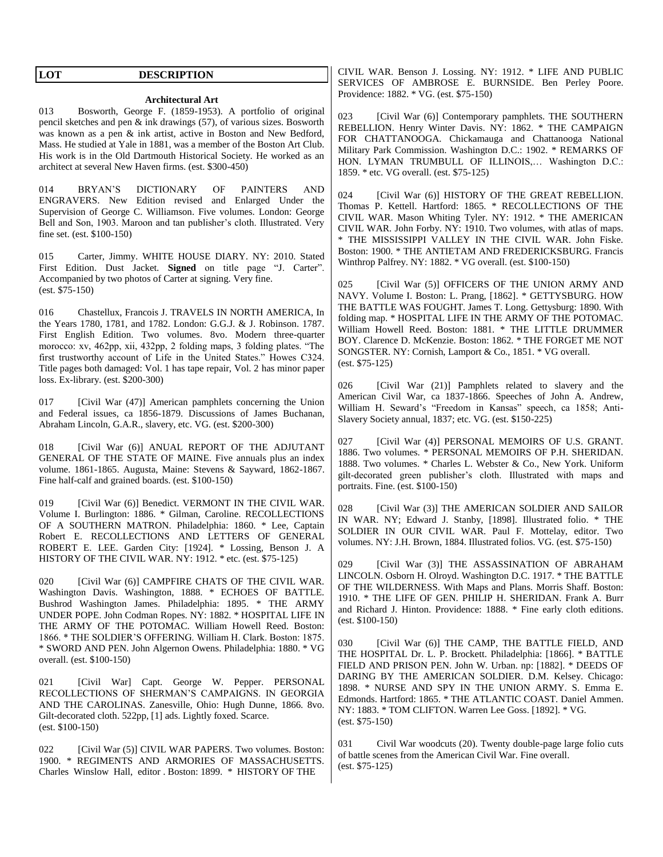# **LOT DESCRIPTION**

# **Architectural Art**

013 Bosworth, George F. (1859-1953). A portfolio of original pencil sketches and pen & ink drawings (57), of various sizes. Bosworth was known as a pen & ink artist, active in Boston and New Bedford, Mass. He studied at Yale in 1881, was a member of the Boston Art Club. His work is in the Old Dartmouth Historical Society. He worked as an architect at several New Haven firms. (est. \$300-450)

014 BRYAN'S DICTIONARY OF PAINTERS AND ENGRAVERS. New Edition revised and Enlarged Under the Supervision of George C. Williamson. Five volumes. London: George Bell and Son, 1903. Maroon and tan publisher's cloth. Illustrated. Very fine set. (est. \$100-150)

015 Carter, Jimmy. WHITE HOUSE DIARY. NY: 2010. Stated First Edition. Dust Jacket. **Signed** on title page "J. Carter". Accompanied by two photos of Carter at signing. Very fine. (est. \$75-150)

016 Chastellux, Francois J. TRAVELS IN NORTH AMERICA, In the Years 1780, 1781, and 1782. London: G.G.J. & J. Robinson. 1787. First English Edition. Two volumes. 8vo. Modern three-quarter morocco: xv, 462pp, xii, 432pp, 2 folding maps, 3 folding plates. "The first trustworthy account of Life in the United States." Howes C324. Title pages both damaged: Vol. 1 has tape repair, Vol. 2 has minor paper loss. Ex-library. (est. \$200-300)

017 [Civil War (47)] American pamphlets concerning the Union and Federal issues, ca 1856-1879. Discussions of James Buchanan, Abraham Lincoln, G.A.R., slavery, etc. VG. (est. \$200-300)

018 [Civil War (6)] ANUAL REPORT OF THE ADJUTANT GENERAL OF THE STATE OF MAINE. Five annuals plus an index volume. 1861-1865. Augusta, Maine: Stevens & Sayward, 1862-1867. Fine half-calf and grained boards. (est. \$100-150)

019 [Civil War (6)] Benedict. VERMONT IN THE CIVIL WAR. Volume I. Burlington: 1886. \* Gilman, Caroline. RECOLLECTIONS OF A SOUTHERN MATRON. Philadelphia: 1860. \* Lee, Captain Robert E. RECOLLECTIONS AND LETTERS OF GENERAL ROBERT E. LEE. Garden City: [1924]. \* Lossing, Benson J. A HISTORY OF THE CIVIL WAR. NY: 1912. \* etc. (est. \$75-125)

020 [Civil War (6)] CAMPFIRE CHATS OF THE CIVIL WAR. Washington Davis. Washington, 1888. \* ECHOES OF BATTLE. Bushrod Washington James. Philadelphia: 1895. \* THE ARMY UNDER POPE. John Codman Ropes. NY: 1882. \* HOSPITAL LIFE IN THE ARMY OF THE POTOMAC. William Howell Reed. Boston: 1866. \* THE SOLDIER'S OFFERING. William H. Clark. Boston: 1875. \* SWORD AND PEN. John Algernon Owens. Philadelphia: 1880. \* VG overall. (est. \$100-150)

021 [Civil War] Capt. George W. Pepper. PERSONAL RECOLLECTIONS OF SHERMAN'S CAMPAIGNS. IN GEORGIA AND THE CAROLINAS. Zanesville, Ohio: Hugh Dunne, 1866. 8vo. Gilt-decorated cloth. 522pp, [1] ads. Lightly foxed. Scarce. (est. \$100-150)

022 [Civil War (5)] CIVIL WAR PAPERS. Two volumes. Boston: 1900. \* REGIMENTS AND ARMORIES OF MASSACHUSETTS. Charles Winslow Hall, editor . Boston: 1899. \* HISTORY OF THE

CIVIL WAR. Benson J. Lossing. NY: 1912. \* LIFE AND PUBLIC SERVICES OF AMBROSE E. BURNSIDE. Ben Perley Poore. Providence: 1882. \* VG. (est. \$75-150)

023 [Civil War (6)] Contemporary pamphlets. THE SOUTHERN REBELLION. Henry Winter Davis. NY: 1862. \* THE CAMPAIGN FOR CHATTANOOGA. Chickamauga and Chattanooga National Military Park Commission. Washington D.C.: 1902. \* REMARKS OF HON. LYMAN TRUMBULL OF ILLINOIS,… Washington D.C.: 1859. \* etc. VG overall. (est. \$75-125)

024 [Civil War (6)] HISTORY OF THE GREAT REBELLION. Thomas P. Kettell. Hartford: 1865. \* RECOLLECTIONS OF THE CIVIL WAR. Mason Whiting Tyler. NY: 1912. \* THE AMERICAN CIVIL WAR. John Forby. NY: 1910. Two volumes, with atlas of maps. \* THE MISSISSIPPI VALLEY IN THE CIVIL WAR. John Fiske. Boston: 1900. \* THE ANTIETAM AND FREDERICKSBURG. Francis Winthrop Palfrey. NY: 1882. \* VG overall. (est. \$100-150)

025 [Civil War (5)] OFFICERS OF THE UNION ARMY AND NAVY. Volume I. Boston: L. Prang, [1862]. \* GETTYSBURG. HOW THE BATTLE WAS FOUGHT. James T. Long. Gettysburg: 1890. With folding map. \* HOSPITAL LIFE IN THE ARMY OF THE POTOMAC. William Howell Reed. Boston: 1881. \* THE LITTLE DRUMMER BOY. Clarence D. McKenzie. Boston: 1862. \* THE FORGET ME NOT SONGSTER. NY: Cornish, Lamport & Co., 1851. \* VG overall. (est. \$75-125)

026 [Civil War (21)] Pamphlets related to slavery and the American Civil War, ca 1837-1866. Speeches of John A. Andrew, William H. Seward's "Freedom in Kansas" speech, ca 1858; Anti-Slavery Society annual, 1837; etc. VG. (est. \$150-225)

027 [Civil War (4)] PERSONAL MEMOIRS OF U.S. GRANT. 1886. Two volumes. \* PERSONAL MEMOIRS OF P.H. SHERIDAN. 1888. Two volumes. \* Charles L. Webster & Co., New York. Uniform gilt-decorated green publisher's cloth. Illustrated with maps and portraits. Fine. (est. \$100-150)

028 [Civil War (3)] THE AMERICAN SOLDIER AND SAILOR IN WAR. NY; Edward J. Stanby, [1898]. Illustrated folio. \* THE SOLDIER IN OUR CIVIL WAR. Paul F. Mottelay, editor. Two volumes. NY: J.H. Brown, 1884. Illustrated folios. VG. (est. \$75-150)

029 [Civil War (3)] THE ASSASSINATION OF ABRAHAM LINCOLN. Osborn H. Olroyd. Washington D.C. 1917. \* THE BATTLE OF THE WILDERNESS. With Maps and Plans. Morris Shaff. Boston: 1910. \* THE LIFE OF GEN. PHILIP H. SHERIDAN. Frank A. Burr and Richard J. Hinton. Providence: 1888. \* Fine early cloth editions. (est. \$100-150)

030 [Civil War (6)] THE CAMP, THE BATTLE FIELD, AND THE HOSPITAL Dr. L. P. Brockett. Philadelphia: [1866]. \* BATTLE FIELD AND PRISON PEN. John W. Urban. np: [1882]. \* DEEDS OF DARING BY THE AMERICAN SOLDIER. D.M. Kelsey. Chicago: 1898. \* NURSE AND SPY IN THE UNION ARMY. S. Emma E. Edmonds. Hartford: 1865. \* THE ATLANTIC COAST. Daniel Ammen. NY: 1883. \* TOM CLIFTON. Warren Lee Goss. [1892]. \* VG. (est. \$75-150)

031 Civil War woodcuts (20). Twenty double-page large folio cuts of battle scenes from the American Civil War. Fine overall. (est. \$75-125)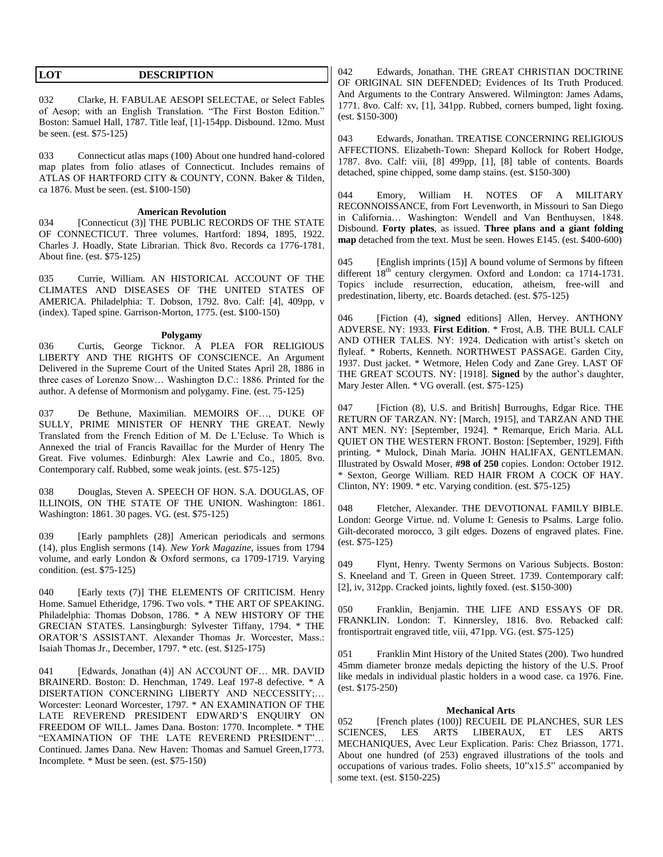| <b>DESCRIPTION</b><br><b>LOT</b> |
|----------------------------------|
|----------------------------------|

032 Clarke, H. FABULAE AESOPI SELECTAE, or Select Fables of Aesop; with an English Translation. "The First Boston Edition." Boston: Samuel Hall, 1787. Title leaf, [1]-154pp. Disbound. 12mo. Must be seen. (est. \$75-125)

033 Connecticut atlas maps (100) About one hundred hand-colored map plates from folio atlases of Connecticut. Includes remains of ATLAS OF HARTFORD CITY & COUNTY, CONN. Baker & Tilden, ca 1876. Must be seen. (est. \$100-150)

#### **American Revolution**

034 [Connecticut (3)] THE PUBLIC RECORDS OF THE STATE OF CONNECTICUT. Three volumes. Hartford: 1894, 1895, 1922. Charles J. Hoadly, State Librarian. Thick 8vo. Records ca 1776-1781. About fine. (est. \$75-125)

035 Currie, William. AN HISTORICAL ACCOUNT OF THE CLIMATES AND DISEASES OF THE UNITED STATES OF AMERICA. Philadelphia: T. Dobson, 1792. 8vo. Calf: [4], 409pp, v (index). Taped spine. Garrison-Morton, 1775. (est. \$100-150)

#### **Polygamy**

036 Curtis, George Ticknor. A PLEA FOR RELIGIOUS LIBERTY AND THE RIGHTS OF CONSCIENCE. An Argument Delivered in the Supreme Court of the United States April 28, 1886 in three cases of Lorenzo Snow… Washington D.C.: 1886. Printed for the author. A defense of Mormonism and polygamy. Fine. (est. 75-125)

037 De Bethune, Maximilian. MEMOIRS OF…, DUKE OF SULLY, PRIME MINISTER OF HENRY THE GREAT. Newly Translated from the French Edition of M. De L'Ecluse. To Which is Annexed the trial of Francis Ravaillac for the Murder of Henry The Great. Five volumes. Edinburgh: Alex Lawrie and Co., 1805. 8vo. Contemporary calf. Rubbed, some weak joints. (est. \$75-125)

038 Douglas, Steven A. SPEECH OF HON. S.A. DOUGLAS, OF ILLINOIS, ON THE STATE OF THE UNION. Washington: 1861. Washington: 1861. 30 pages. VG. (est. \$75-125)

039 [Early pamphlets (28)] American periodicals and sermons (14), plus English sermons (14). *New York Magazine*, issues from 1794 volume, and early London & Oxford sermons, ca 1709-1719. Varying condition. (est. \$75-125)

040 [Early texts (7)] THE ELEMENTS OF CRITICISM. Henry Home. Samuel Etheridge, 1796. Two vols. \* THE ART OF SPEAKING. Philadelphia: Thomas Dobson, 1786. \* A NEW HISTORY OF THE GRECIAN STATES. Lansingburgh: Sylvester Tiffany, 1794. \* THE ORATOR'S ASSISTANT. Alexander Thomas Jr. Worcester, Mass.: Isaiah Thomas Jr., December, 1797. \* etc. (est. \$125-175)

041 [Edwards, Jonathan (4)] AN ACCOUNT OF… MR. DAVID BRAINERD. Boston: D. Henchman, 1749. Leaf 197-8 defective. \* A DISERTATION CONCERNING LIBERTY AND NECCESSITY;… Worcester: Leonard Worcester, 1797. \* AN EXAMINATION OF THE LATE REVEREND PRESIDENT EDWARD'S ENQUIRY ON FREEDOM OF WILL. James Dana. Boston: 1770. Incomplete. \* THE "EXAMINATION OF THE LATE REVEREND PRESIDENT"… Continued. James Dana. New Haven: Thomas and Samuel Green,1773. Incomplete. \* Must be seen. (est. \$75-150)

042 Edwards, Jonathan. THE GREAT CHRISTIAN DOCTRINE OF ORIGINAL SIN DEFENDED; Evidences of Its Truth Produced. And Arguments to the Contrary Answered. Wilmington: James Adams, 1771. 8vo. Calf: xv, [1], 341pp. Rubbed, corners bumped, light foxing. (est. \$150-300)

043 Edwards, Jonathan. TREATISE CONCERNING RELIGIOUS AFFECTIONS. Elizabeth-Town: Shepard Kollock for Robert Hodge, 1787. 8vo. Calf: viii, [8] 499pp, [1], [8] table of contents. Boards detached, spine chipped, some damp stains. (est. \$150-300)

044 Emory, William H. NOTES OF A MILITARY RECONNOISSANCE, from Fort Levenworth, in Missouri to San Diego in California… Washington: Wendell and Van Benthuysen, 1848. Disbound. **Forty plates**, as issued. **Three plans and a giant folding map** detached from the text. Must be seen. Howes E145. (est. \$400-600)

045 [English imprints (15)] A bound volume of Sermons by fifteen different  $18<sup>th</sup>$  century clergymen. Oxford and London: ca 1714-1731. Topics include resurrection, education, atheism, free-will and predestination, liberty, etc. Boards detached. (est. \$75-125)

046 [Fiction (4), **signed** editions] Allen, Hervey. ANTHONY ADVERSE. NY: 1933. **First Edition**. \* Frost, A.B. THE BULL CALF AND OTHER TALES. NY: 1924. Dedication with artist's sketch on flyleaf. \* Roberts, Kenneth. NORTHWEST PASSAGE. Garden City, 1937. Dust jacket. \* Wetmore, Helen Cody and Zane Grey. LAST OF THE GREAT SCOUTS. NY: [1918]. **Signed** by the author's daughter, Mary Jester Allen. \* VG overall. (est. \$75-125)

047 [Fiction (8), U.S. and British] Burroughs, Edgar Rice. THE RETURN OF TARZAN. NY: [March, 1915], and TARZAN AND THE ANT MEN. NY: [September, 1924]. \* Remarque, Erich Maria. ALL QUIET ON THE WESTERN FRONT. Boston: [September, 1929]. Fifth printing. \* Mulock, Dinah Maria. JOHN HALIFAX, GENTLEMAN. Illustrated by Oswald Moser, **#98 of 250** copies. London: October 1912. \* Sexton, George William. RED HAIR FROM A COCK OF HAY. Clinton, NY: 1909. \* etc. Varying condition. (est. \$75-125)

048 Fletcher, Alexander. THE DEVOTIONAL FAMILY BIBLE. London: George Virtue. nd. Volume I: Genesis to Psalms. Large folio. Gilt-decorated morocco, 3 gilt edges. Dozens of engraved plates. Fine. (est. \$75-125)

049 Flynt, Henry. Twenty Sermons on Various Subjects. Boston: S. Kneeland and T. Green in Queen Street. 1739. Contemporary calf: [2], iv, 312pp. Cracked joints, lightly foxed. (est. \$150-300)

050 Franklin, Benjamin. THE LIFE AND ESSAYS OF DR. FRANKLIN. London: T. Kinnersley, 1816. 8vo. Rebacked calf: frontisportrait engraved title, viii, 471pp. VG. (est. \$75-125)

051 Franklin Mint History of the United States (200). Two hundred 45mm diameter bronze medals depicting the history of the U.S. Proof like medals in individual plastic holders in a wood case. ca 1976. Fine. (est. \$175-250)

### **Mechanical Arts**

052 [French plates (100)] RECUEIL DE PLANCHES, SUR LES SCIENCES, LES ARTS LIBERAUX, ET LES ARTS MECHANIQUES, Avec Leur Explication. Paris: Chez Briasson, 1771. About one hundred (of 253) engraved illustrations of the tools and occupations of various trades. Folio sheets, 10"x15.5" accompanied by some text. (est. \$150-225)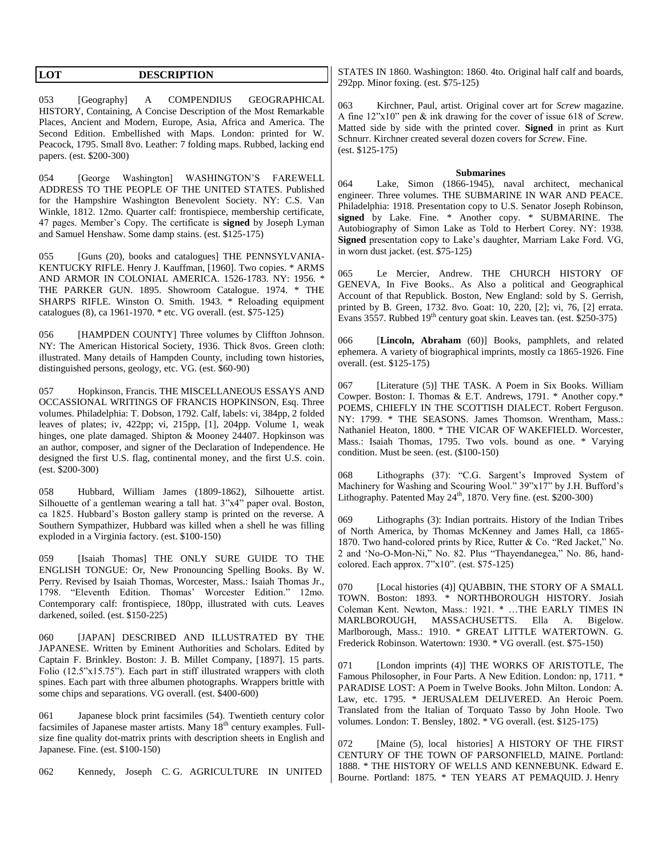**LOT DESCRIPTION** 

053 [Geography] A COMPENDIUS GEOGRAPHICAL HISTORY, Containing, A Concise Description of the Most Remarkable Places, Ancient and Modern, Europe, Asia, Africa and America. The Second Edition. Embellished with Maps. London: printed for W. Peacock, 1795. Small 8vo. Leather: 7 folding maps. Rubbed, lacking end papers. (est. \$200-300)

054 [George Washington] WASHINGTON'S FAREWELL ADDRESS TO THE PEOPLE OF THE UNITED STATES. Published for the Hampshire Washington Benevolent Society. NY: C.S. Van Winkle, 1812. 12mo. Quarter calf: frontispiece, membership certificate, 47 pages. Member's Copy. The certificate is **signed** by Joseph Lyman and Samuel Henshaw. Some damp stains. (est. \$125-175)

055 [Guns (20), books and catalogues] THE PENNSYLVANIA-KENTUCKY RIFLE. Henry J. Kauffman, [1960]. Two copies. \* ARMS AND ARMOR IN COLONIAL AMERICA. 1526-1783. NY: 1956. \* THE PARKER GUN. 1895. Showroom Catalogue. 1974. \* THE SHARPS RIFLE. Winston O. Smith. 1943. \* Reloading equipment catalogues (8), ca 1961-1970. \* etc. VG overall. (est. \$75-125)

056 [HAMPDEN COUNTY] Three volumes by Cliffton Johnson. NY: The American Historical Society, 1936. Thick 8vos. Green cloth: illustrated. Many details of Hampden County, including town histories, distinguished persons, geology, etc. VG. (est. \$60-90)

057 Hopkinson, Francis. THE MISCELLANEOUS ESSAYS AND OCCASSIONAL WRITINGS OF FRANCIS HOPKINSON, Esq. Three volumes. Philadelphia: T. Dobson, 1792. Calf, labels: vi, 384pp, 2 folded leaves of plates; iv, 422pp; vi, 215pp, [1], 204pp. Volume 1, weak hinges, one plate damaged. Shipton & Mooney 24407. Hopkinson was an author, composer, and signer of the Declaration of Independence. He designed the first U.S. flag, continental money, and the first U.S. coin. (est. \$200-300)

058 Hubbard, William James (1809-1862), Silhouette artist. Silhouette of a gentleman wearing a tall hat. 3"x4" paper oval. Boston, ca 1825. Hubbard's Boston gallery stamp is printed on the reverse. A Southern Sympathizer, Hubbard was killed when a shell he was filling exploded in a Virginia factory. (est. \$100-150)

059 [Isaiah Thomas] THE ONLY SURE GUIDE TO THE ENGLISH TONGUE: Or, New Pronouncing Spelling Books. By W. Perry. Revised by Isaiah Thomas, Worcester, Mass.: Isaiah Thomas Jr., 1798. "Eleventh Edition. Thomas' Worcester Edition." 12mo. Contemporary calf: frontispiece, 180pp, illustrated with cuts. Leaves darkened, soiled. (est. \$150-225)

060 [JAPAN] DESCRIBED AND ILLUSTRATED BY THE JAPANESE. Written by Eminent Authorities and Scholars. Edited by Captain F. Brinkley. Boston: J. B. Millet Company, [1897]. 15 parts. Folio (12.5"x15.75"). Each part in stiff illustrated wrappers with cloth spines. Each part with three albumen photographs. Wrappers brittle with some chips and separations. VG overall. (est. \$400-600)

061 Japanese block print facsimiles (54). Twentieth century color facsimiles of Japanese master artists. Many 18<sup>th</sup> century examples. Fullsize fine quality dot-matrix prints with description sheets in English and Japanese. Fine. (est. \$100-150)

062 Kennedy, Joseph C. G. AGRICULTURE IN UNITED

STATES IN 1860. Washington: 1860. 4to. Original half calf and boards, 292pp. Minor foxing. (est. \$75-125)

063 Kirchner, Paul, artist. Original cover art for *Screw* magazine. A fine 12"x10" pen & ink drawing for the cover of issue 618 of *Screw*. Matted side by side with the printed cover. **Signed** in print as Kurt Schnurr. Kirchner created several dozen covers for *Screw*. Fine. (est. \$125-175)

#### **Submarines**

064 Lake, Simon (1866-1945), naval architect, mechanical engineer. Three volumes. THE SUBMARINE IN WAR AND PEACE. Philadelphia: 1918. Presentation copy to U.S. Senator Joseph Robinson, **signed** by Lake. Fine. \* Another copy. \* SUBMARINE. The Autobiography of Simon Lake as Told to Herbert Corey. NY: 1938. **Signed** presentation copy to Lake's daughter, Marriam Lake Ford. VG, in worn dust jacket. (est. \$75-125)

065 Le Mercier, Andrew. THE CHURCH HISTORY OF GENEVA, In Five Books.. As Also a political and Geographical Account of that Republick. Boston, New England: sold by S. Gerrish, printed by B. Green, 1732. 8vo. Goat: 10, 220, [2]; vi, 76, [2] errata. Evans 3557. Rubbed  $19<sup>th</sup>$  century goat skin. Leaves tan. (est. \$250-375)

066 [**Lincoln, Abraham** (60)] Books, pamphlets, and related ephemera. A variety of biographical imprints, mostly ca 1865-1926. Fine overall. (est. \$125-175)

067 [Literature (5)] THE TASK. A Poem in Six Books. William Cowper. Boston: I. Thomas & E.T. Andrews, 1791. \* Another copy.\* POEMS, CHIEFLY IN THE SCOTTISH DIALECT. Robert Ferguson. NY: 1799. \* THE SEASONS. James Thomson. Wrentham, Mass.: Nathaniel Heaton, 1800. \* THE VICAR OF WAKEFIELD. Worcester, Mass.: Isaiah Thomas, 1795. Two vols. bound as one. \* Varying condition. Must be seen. (est. (\$100-150)

068 Lithographs (37): "C.G. Sargent's Improved System of Machinery for Washing and Scouring Wool." 39"x17" by J.H. Bufford's Lithography. Patented May  $24^{\text{th}}$ , 1870. Very fine. (est. \$200-300)

069 Lithographs (3): Indian portraits. History of the Indian Tribes of North America, by Thomas McKenney and James Hall, ca 1865- 1870. Two hand-colored prints by Rice, Rutter & Co. "Red Jacket," No. 2 and 'No-O-Mon-Ni," No. 82. Plus "Thayendanegea," No. 86, handcolored. Each approx. 7"x10". (est. \$75-125)

070 [Local histories (4)] QUABBIN, THE STORY OF A SMALL TOWN. Boston: 1893. \* NORTHBOROUGH HISTORY. Josiah Coleman Kent. Newton, Mass.: 1921. \* …THE EARLY TIMES IN MARLBOROUGH, MASSACHUSETTS. Ella A. Bigelow. Marlborough, Mass.: 1910. \* GREAT LITTLE WATERTOWN. G. Frederick Robinson. Watertown: 1930. \* VG overall. (est. \$75-150)

071 [London imprints (4)] THE WORKS OF ARISTOTLE, The Famous Philosopher, in Four Parts. A New Edition. London: np, 1711. \* PARADISE LOST: A Poem in Twelve Books. John Milton. London: A. Law, etc. 1795. \* JERUSALEM DELIVERED. An Heroic Poem. Translated from the Italian of Torquato Tasso by John Hoole. Two volumes. London: T. Bensley, 1802. \* VG overall. (est. \$125-175)

072 [Maine (5), local histories] A HISTORY OF THE FIRST CENTURY OF THE TOWN OF PARSONFIELD, MAINE. Portland: 1888. \* THE HISTORY OF WELLS AND KENNEBUNK. Edward E. Bourne. Portland: 1875. \* TEN YEARS AT PEMAQUID. J. Henry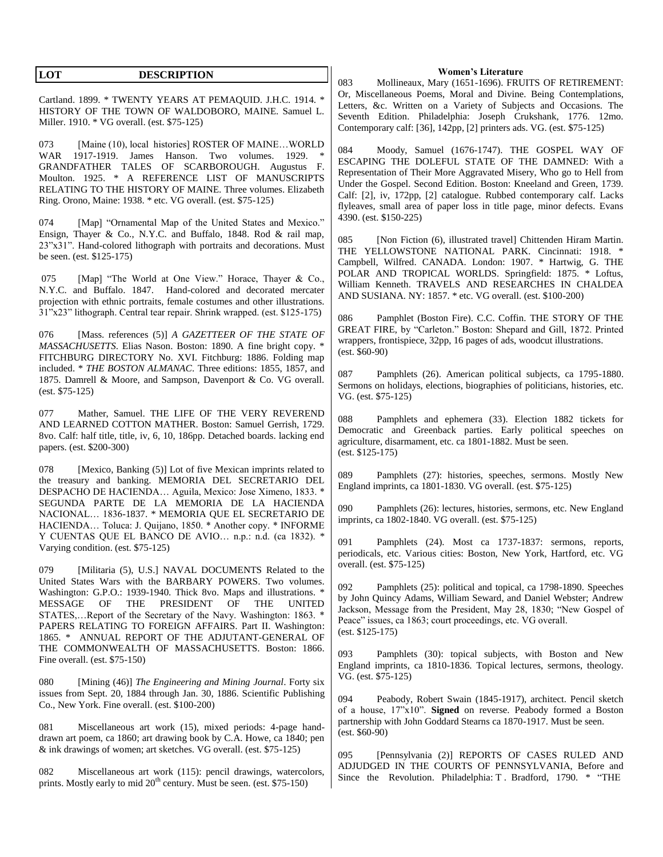| <b>DESCRIPTION</b> |
|--------------------|
|                    |

Cartland. 1899. \* TWENTY YEARS AT PEMAQUID. J.H.C. 1914. \* HISTORY OF THE TOWN OF WALDOBORO, MAINE. Samuel L. Miller. 1910. \* VG overall. (est. \$75-125)

073 [Maine (10), local histories] ROSTER OF MAINE...WORLD WAR 1917-1919. James Hanson. Two volumes. 1929. \* GRANDFATHER TALES OF SCARBOROUGH. Augustus F. Moulton. 1925. \* A REFERENCE LIST OF MANUSCRIPTS RELATING TO THE HISTORY OF MAINE. Three volumes. Elizabeth Ring. Orono, Maine: 1938. \* etc. VG overall. (est. \$75-125)

074 [Map] "Ornamental Map of the United States and Mexico." Ensign, Thayer & Co., N.Y.C. and Buffalo, 1848. Rod & rail map, 23"x31". Hand-colored lithograph with portraits and decorations. Must be seen. (est. \$125-175)

075 [Map] "The World at One View." Horace, Thayer & Co., N.Y.C. and Buffalo. 1847. Hand-colored and decorated mercater projection with ethnic portraits, female costumes and other illustrations. 31"x23" lithograph. Central tear repair. Shrink wrapped. (est. \$125-175)

076 [Mass. references (5)] *A GAZETTEER OF THE STATE OF MASSACHUSETTS*. Elias Nason. Boston: 1890. A fine bright copy. \* FITCHBURG DIRECTORY No. XVI. Fitchburg: 1886. Folding map included. \* *THE BOSTON ALMANAC*. Three editions: 1855, 1857, and 1875. Damrell & Moore, and Sampson, Davenport & Co. VG overall. (est. \$75-125)

077 Mather, Samuel. THE LIFE OF THE VERY REVEREND AND LEARNED COTTON MATHER. Boston: Samuel Gerrish, 1729. 8vo. Calf: half title, title, iv, 6, 10, 186pp. Detached boards. lacking end papers. (est. \$200-300)

078 [Mexico, Banking (5)] Lot of five Mexican imprints related to the treasury and banking. MEMORIA DEL SECRETARIO DEL DESPACHO DE HACIENDA… Aguila, Mexico: Jose Ximeno, 1833. \* SEGUNDA PARTE DE LA MEMORIA DE LA HACIENDA NACIONAL… 1836-1837. \* MEMORIA QUE EL SECRETARIO DE HACIENDA… Toluca: J. Quijano, 1850. \* Another copy. \* INFORME Y CUENTAS QUE EL BANCO DE AVIO… n.p.: n.d. (ca 1832). \* Varying condition. (est. \$75-125)

079 [Militaria (5), U.S.] NAVAL DOCUMENTS Related to the United States Wars with the BARBARY POWERS. Two volumes. Washington: G.P.O.: 1939-1940. Thick 8vo. Maps and illustrations. \* MESSAGE OF THE PRESIDENT OF THE UNITED STATES,…Report of the Secretary of the Navy. Washington: 1863. \* PAPERS RELATING TO FOREIGN AFFAIRS. Part II. Washington: 1865. \* ANNUAL REPORT OF THE ADJUTANT-GENERAL OF THE COMMONWEALTH OF MASSACHUSETTS. Boston: 1866. Fine overall. (est. \$75-150)

080 [Mining (46)] *The Engineering and Mining Journal*. Forty six issues from Sept. 20, 1884 through Jan. 30, 1886. Scientific Publishing Co., New York. Fine overall. (est. \$100-200)

081 Miscellaneous art work (15), mixed periods: 4-page handdrawn art poem, ca 1860; art drawing book by C.A. Howe, ca 1840; pen & ink drawings of women; art sketches. VG overall. (est. \$75-125)

082 Miscellaneous art work (115): pencil drawings, watercolors, prints. Mostly early to mid  $20^{th}$  century. Must be seen. (est. \$75-150)

#### **Women's Literature**

083 Mollineaux, Mary (1651-1696). FRUITS OF RETIREMENT: Or, Miscellaneous Poems, Moral and Divine. Being Contemplations, Letters, &c. Written on a Variety of Subjects and Occasions. The Seventh Edition. Philadelphia: Joseph Crukshank, 1776. 12mo. Contemporary calf: [36], 142pp, [2] printers ads. VG. (est. \$75-125)

084 Moody, Samuel (1676-1747). THE GOSPEL WAY OF ESCAPING THE DOLEFUL STATE OF THE DAMNED: With a Representation of Their More Aggravated Misery, Who go to Hell from Under the Gospel. Second Edition. Boston: Kneeland and Green, 1739. Calf: [2], iv, 172pp, [2] catalogue. Rubbed contemporary calf. Lacks flyleaves, small area of paper loss in title page, minor defects. Evans 4390. (est. \$150-225)

085 [Non Fiction (6), illustrated travel] Chittenden Hiram Martin. THE YELLOWSTONE NATIONAL PARK. Cincinnati: 1918. Campbell, Wilfred. CANADA. London: 1907. \* Hartwig, G. THE POLAR AND TROPICAL WORLDS. Springfield: 1875. \* Loftus, William Kenneth. TRAVELS AND RESEARCHES IN CHALDEA AND SUSIANA. NY: 1857. \* etc. VG overall. (est. \$100-200)

086 Pamphlet (Boston Fire). C.C. Coffin. THE STORY OF THE GREAT FIRE, by "Carleton." Boston: Shepard and Gill, 1872. Printed wrappers, frontispiece, 32pp, 16 pages of ads, woodcut illustrations. (est. \$60-90)

087 Pamphlets (26). American political subjects, ca 1795-1880. Sermons on holidays, elections, biographies of politicians, histories, etc. VG. (est. \$75-125)

088 Pamphlets and ephemera (33). Election 1882 tickets for Democratic and Greenback parties. Early political speeches on agriculture, disarmament, etc. ca 1801-1882. Must be seen. (est. \$125-175)

089 Pamphlets (27): histories, speeches, sermons. Mostly New England imprints, ca 1801-1830. VG overall. (est. \$75-125)

090 Pamphlets (26): lectures, histories, sermons, etc. New England imprints, ca 1802-1840. VG overall. (est. \$75-125)

091 Pamphlets (24). Most ca 1737-1837: sermons, reports, periodicals, etc. Various cities: Boston, New York, Hartford, etc. VG overall. (est. \$75-125)

092 Pamphlets (25): political and topical, ca 1798-1890. Speeches by John Quincy Adams, William Seward, and Daniel Webster; Andrew Jackson, Message from the President, May 28, 1830; "New Gospel of Peace" issues, ca 1863; court proceedings, etc. VG overall. (est. \$125-175)

093 Pamphlets (30): topical subjects, with Boston and New England imprints, ca 1810-1836. Topical lectures, sermons, theology. VG. (est. \$75-125)

094 Peabody, Robert Swain (1845-1917), architect. Pencil sketch of a house, 17"x10". **Signed** on reverse. Peabody formed a Boston partnership with John Goddard Stearns ca 1870-1917. Must be seen.  $ext. $60-90)$ 

095 [Pennsylvania (2)] REPORTS OF CASES RULED AND ADJUDGED IN THE COURTS OF PENNSYLVANIA, Before and Since the Revolution. Philadelphia: T. Bradford, 1790. \* "THE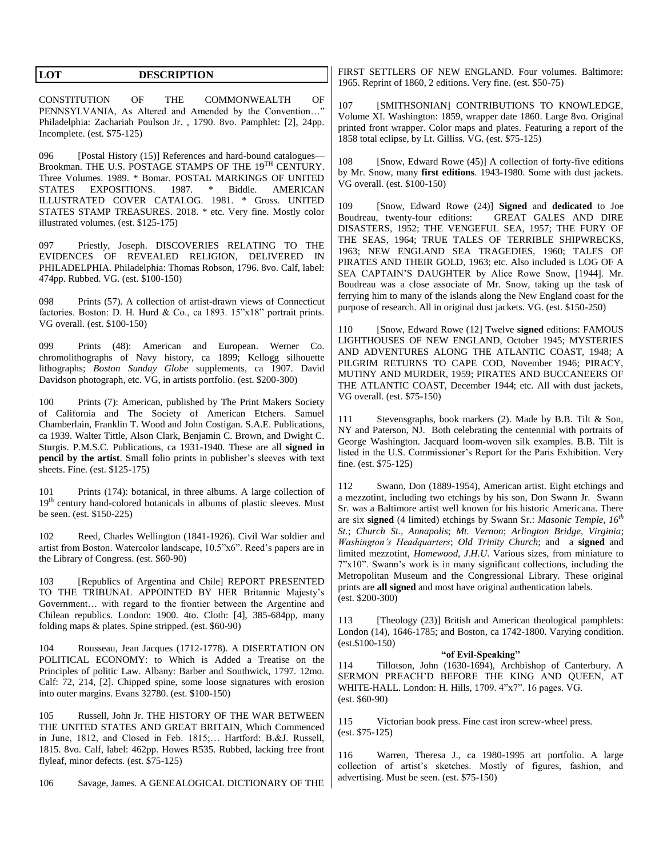CONSTITUTION OF THE COMMONWEALTH OF PENNSYLVANIA, As Altered and Amended by the Convention…" Philadelphia: Zachariah Poulson Jr. , 1790. 8vo. Pamphlet: [2], 24pp. Incomplete. (est. \$75-125)

096 [Postal History (15)] References and hard-bound catalogues— Brookman. THE U.S. POSTAGE STAMPS OF THE 19<sup>TH</sup> CENTURY. Three Volumes. 1989. \* Bomar. POSTAL MARKINGS OF UNITED STATES EXPOSITIONS. 1987. \* Biddle. AMERICAN ILLUSTRATED COVER CATALOG. 1981. \* Gross. UNITED STATES STAMP TREASURES. 2018. \* etc. Very fine. Mostly color illustrated volumes. (est. \$125-175)

097 Priestly, Joseph. DISCOVERIES RELATING TO THE EVIDENCES OF REVEALED RELIGION, DELIVERED IN PHILADELPHIA. Philadelphia: Thomas Robson, 1796. 8vo. Calf, label: 474pp. Rubbed. VG. (est. \$100-150)

098 Prints (57). A collection of artist-drawn views of Connecticut factories. Boston: D. H. Hurd & Co., ca 1893. 15"x18" portrait prints. VG overall. (est. \$100-150)

099 Prints (48): American and European. Werner Co. chromolithographs of Navy history, ca 1899; Kellogg silhouette lithographs; *Boston Sunday Globe* supplements, ca 1907. David Davidson photograph, etc. VG, in artists portfolio. (est. \$200-300)

100 Prints (7): American, published by The Print Makers Society of California and The Society of American Etchers. Samuel Chamberlain, Franklin T. Wood and John Costigan. S.A.E. Publications, ca 1939. Walter Tittle, Alson Clark, Benjamin C. Brown, and Dwight C. Sturgis. P.M.S.C. Publications, ca 1931-1940. These are all **signed in pencil by the artist**. Small folio prints in publisher's sleeves with text sheets. Fine. (est. \$125-175)

101 Prints (174): botanical, in three albums. A large collection of 19<sup>th</sup> century hand-colored botanicals in albums of plastic sleeves. Must be seen. (est. \$150-225)

102 Reed, Charles Wellington (1841-1926). Civil War soldier and artist from Boston. Watercolor landscape, 10.5"x6". Reed's papers are in the Library of Congress. (est. \$60-90)

103 [Republics of Argentina and Chile] REPORT PRESENTED TO THE TRIBUNAL APPOINTED BY HER Britannic Majesty's Government… with regard to the frontier between the Argentine and Chilean republics. London: 1900. 4to. Cloth: [4], 385-684pp, many folding maps & plates. Spine stripped. (est. \$60-90)

104 Rousseau, Jean Jacques (1712-1778). A DISERTATION ON POLITICAL ECONOMY: to Which is Added a Treatise on the Principles of politic Law. Albany: Barber and Southwick, 1797. 12mo. Calf: 72, 214, [2]. Chipped spine, some loose signatures with erosion into outer margins. Evans 32780. (est. \$100-150)

105 Russell, John Jr. THE HISTORY OF THE WAR BETWEEN THE UNITED STATES AND GREAT BRITAIN, Which Commenced in June, 1812, and Closed in Feb. 1815;… Hartford: B.&J. Russell, 1815. 8vo. Calf, label: 462pp. Howes R535. Rubbed, lacking free front flyleaf, minor defects. (est. \$75-125)

106 Savage, James. A GENEALOGICAL DICTIONARY OF THE

FIRST SETTLERS OF NEW ENGLAND. Four volumes. Baltimore: 1965. Reprint of 1860, 2 editions. Very fine. (est. \$50-75)

107 [SMITHSONIAN] CONTRIBUTIONS TO KNOWLEDGE, Volume XI. Washington: 1859, wrapper date 1860. Large 8vo. Original printed front wrapper. Color maps and plates. Featuring a report of the 1858 total eclipse, by Lt. Gilliss. VG. (est. \$75-125)

108 [Snow, Edward Rowe (45)] A collection of forty-five editions by Mr. Snow, many **first editions**. 1943-1980. Some with dust jackets. VG overall. (est. \$100-150)

109 [Snow, Edward Rowe (24)] **Signed** and **dedicated** to Joe Boudreau, twenty-four editions: GREAT GALES AND DIRE DISASTERS, 1952; THE VENGEFUL SEA, 1957; THE FURY OF THE SEAS, 1964; TRUE TALES OF TERRIBLE SHIPWRECKS, 1963; NEW ENGLAND SEA TRAGEDIES, 1960; TALES OF PIRATES AND THEIR GOLD, 1963; etc. Also included is LOG OF A SEA CAPTAIN'S DAUGHTER by Alice Rowe Snow, [1944]. Mr. Boudreau was a close associate of Mr. Snow, taking up the task of ferrying him to many of the islands along the New England coast for the purpose of research. All in original dust jackets. VG. (est. \$150-250)

110 [Snow, Edward Rowe (12] Twelve **signed** editions: FAMOUS LIGHTHOUSES OF NEW ENGLAND, October 1945; MYSTERIES AND ADVENTURES ALONG THE ATLANTIC COAST, 1948; A PILGRIM RETURNS TO CAPE COD, November 1946; PIRACY, MUTINY AND MURDER, 1959; PIRATES AND BUCCANEERS OF THE ATLANTIC COAST, December 1944; etc. All with dust jackets, VG overall. (est. \$75-150)

111 Stevensgraphs, book markers (2). Made by B.B. Tilt & Son, NY and Paterson, NJ. Both celebrating the centennial with portraits of George Washington. Jacquard loom-woven silk examples. B.B. Tilt is listed in the U.S. Commissioner's Report for the Paris Exhibition. Very fine. (est. \$75-125)

112 Swann, Don (1889-1954), American artist. Eight etchings and a mezzotint, including two etchings by his son, Don Swann Jr. Swann Sr. was a Baltimore artist well known for his historic Americana. There are six **signed** (4 limited) etchings by Swann Sr.: *Masonic Temple, 16th St.*; *Church St., Annapolis*; *Mt. Vernon*; *Arlington Bridge, Virginia*; *Washington's Headquarters*; *Old Trinity Church*; and a **signed** and limited mezzotint, *Homewood, J.H.U*. Various sizes, from miniature to 7"x10". Swann's work is in many significant collections, including the Metropolitan Museum and the Congressional Library. These original prints are **all signed** and most have original authentication labels. (est. \$200-300)

113 [Theology (23)] British and American theological pamphlets: London (14), 1646-1785; and Boston, ca 1742-1800. Varying condition. (est.\$100-150)

#### **"of Evil-Speaking"**

114 Tillotson, John (1630-1694), Archbishop of Canterbury. A SERMON PREACH'D BEFORE THE KING AND QUEEN, AT WHITE-HALL. London: H. Hills, 1709. 4"x7". 16 pages. VG. (est. \$60-90)

115 Victorian book press. Fine cast iron screw-wheel press. (est. \$75-125)

116 Warren, Theresa J., ca 1980-1995 art portfolio. A large collection of artist's sketches. Mostly of figures, fashion, and advertising. Must be seen. (est. \$75-150)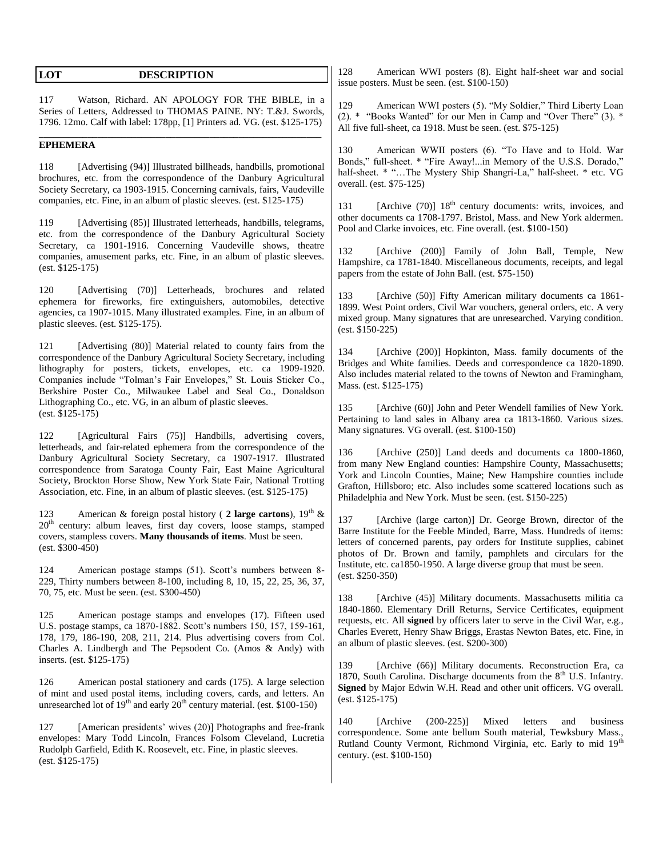| LOT                                                | <b>DESCRIPTION</b>                                                                                                                                                                                                                                                                                                                                                                                                                                                                                                                                                                | American WWI posters (8). Eight half-sheet<br>128<br>issue posters. Must be seen. (est. \$100-150)                                                                                                                                                                                                                                                                                                                                                                                                                                                |
|----------------------------------------------------|-----------------------------------------------------------------------------------------------------------------------------------------------------------------------------------------------------------------------------------------------------------------------------------------------------------------------------------------------------------------------------------------------------------------------------------------------------------------------------------------------------------------------------------------------------------------------------------|---------------------------------------------------------------------------------------------------------------------------------------------------------------------------------------------------------------------------------------------------------------------------------------------------------------------------------------------------------------------------------------------------------------------------------------------------------------------------------------------------------------------------------------------------|
| 117                                                | Watson, Richard. AN APOLOGY FOR THE BIBLE, in a<br>Series of Letters, Addressed to THOMAS PAINE. NY: T.&J. Swords,<br>1796. 12mo. Calf with label: 178pp, [1] Printers ad. VG. (est. \$125-175)                                                                                                                                                                                                                                                                                                                                                                                   | American WWI posters (5). "My Soldier," Thir<br>129<br>(2). * "Books Wanted" for our Men in Camp and "Ove<br>All five full-sheet, ca 1918. Must be seen. (est. \$75-125)                                                                                                                                                                                                                                                                                                                                                                          |
| <b>EPHEMERA</b><br>118<br>119<br>$(est. $125-175)$ | [Advertising (94)] Illustrated billheads, handbills, promotional<br>brochures, etc. from the correspondence of the Danbury Agricultural<br>Society Secretary, ca 1903-1915. Concerning carnivals, fairs, Vaudeville<br>companies, etc. Fine, in an album of plastic sleeves. (est. \$125-175)<br>[Advertising (85)] Illustrated letterheads, handbills, telegrams,<br>etc. from the correspondence of the Danbury Agricultural Society<br>Secretary, ca 1901-1916. Concerning Vaudeville shows, theatre<br>companies, amusement parks, etc. Fine, in an album of plastic sleeves. | 130<br>American WWII posters (6). "To Have and<br>Bonds," full-sheet. * "Fire Away!in Memory of the U<br>half-sheet. * "The Mystery Ship Shangri-La," half-sh<br>overall. (est. \$75-125)<br>[Archive $(70)$ ] $18th$ century documents: writs,<br>131<br>other documents ca 1708-1797. Bristol, Mass. and New Y<br>Pool and Clarke invoices, etc. Fine overall. (est. \$100-150)<br>132<br>[Archive (200)] Family of John Ball,<br>Hampshire, ca 1781-1840. Miscellaneous documents, rec<br>papers from the estate of John Ball. (est. \$75-150) |
| 120                                                | [Advertising (70)] Letterheads, brochures and related<br>ephemera for fireworks, fire extinguishers, automobiles, detective<br>agencies, ca 1907-1015. Many illustrated examples. Fine, in an album of<br>plastic sleeves. (est. \$125-175).                                                                                                                                                                                                                                                                                                                                      | 133<br>[Archive (50)] Fifty American military docun<br>1899. West Point orders, Civil War vouchers, general ord<br>mixed group. Many signatures that are unresearched. Var<br>$(est. \$150-225)$                                                                                                                                                                                                                                                                                                                                                  |
| 121                                                | [Advertising (80)] Material related to county fairs from the<br>correspondence of the Danbury Agricultural Society Secretary, including<br>lithography for posters, tickets, envelopes, etc. ca 1909-1920.<br>Companies include "Tolman's Fair Envelopes," St. Louis Sticker Co.,<br>Berkshire Poster Co., Milwaukee Label and Seal Co., Donaldson                                                                                                                                                                                                                                | 134<br>[Archive (200)] Hopkinton, Mass. family doc<br>Bridges and White families. Deeds and correspondence<br>Also includes material related to the towns of Newton and<br>Mass. (est. \$125-175)                                                                                                                                                                                                                                                                                                                                                 |
| $(est. $125-175)$                                  | Lithographing Co., etc. VG, in an album of plastic sleeves.                                                                                                                                                                                                                                                                                                                                                                                                                                                                                                                       | 135<br>[Archive (60)] John and Peter Wendell families                                                                                                                                                                                                                                                                                                                                                                                                                                                                                             |

122 [Agricultural Fairs (75)] Handbills, advertising covers, letterheads, and fair-related ephemera from the correspondence of the Danbury Agricultural Society Secretary, ca 1907-1917. Illustrated correspondence from Saratoga County Fair, East Maine Agricultural Society, Brockton Horse Show, New York State Fair, National Trotting Association, etc. Fine, in an album of plastic sleeves. (est. \$125-175)

123 American & foreign postal history (2 large cartons), 19<sup>th</sup> &  $20<sup>th</sup>$  century: album leaves, first day covers, loose stamps, stamped covers, stampless covers. **Many thousands of items**. Must be seen. (est. \$300-450)

124 American postage stamps (51). Scott's numbers between 8- 229, Thirty numbers between 8-100, including 8, 10, 15, 22, 25, 36, 37, 70, 75, etc. Must be seen. (est. \$300-450)

125 American postage stamps and envelopes (17). Fifteen used U.S. postage stamps, ca 1870-1882. Scott's numbers 150, 157, 159-161, 178, 179, 186-190, 208, 211, 214. Plus advertising covers from Col. Charles A. Lindbergh and The Pepsodent Co. (Amos & Andy) with inserts. (est. \$125-175)

126 American postal stationery and cards (175). A large selection of mint and used postal items, including covers, cards, and letters. An unresearched lot of  $19<sup>th</sup>$  and early  $20<sup>th</sup>$  century material. (est. \$100-150)

127 [American presidents' wives (20)] Photographs and free-frank envelopes: Mary Todd Lincoln, Frances Folsom Cleveland, Lucretia Rudolph Garfield, Edith K. Roosevelt, etc. Fine, in plastic sleeves. (est. \$125-175)

war and social

d Liberty Loan  $er$  There" (3).  $*$ 

to Hold. War I.S.S. Dorado," heet. \* etc. VG

invoices, and York aldermen. Pool and Clarke invoices, etc. Fine overall. (est. \$100-150)

Temple, New eipts, and legal

nents ca 1861ers, etc. A very ving condition.

tuments of the ca 1820-1890. d Framingham,

[Archive (60)] John and Peter Wendell families of New York. Pertaining to land sales in Albany area ca 1813-1860. Various sizes. Many signatures. VG overall. (est. \$100-150)

136 [Archive (250)] Land deeds and documents ca 1800-1860, from many New England counties: Hampshire County, Massachusetts; York and Lincoln Counties, Maine; New Hampshire counties include Grafton, Hillsboro; etc. Also includes some scattered locations such as Philadelphia and New York. Must be seen. (est. \$150-225)

137 [Archive (large carton)] Dr. George Brown, director of the Barre Institute for the Feeble Minded, Barre, Mass. Hundreds of items: letters of concerned parents, pay orders for Institute supplies, cabinet photos of Dr. Brown and family, pamphlets and circulars for the Institute, etc. ca1850-1950. A large diverse group that must be seen. (est. \$250-350)

138 [Archive (45)] Military documents. Massachusetts militia ca 1840-1860. Elementary Drill Returns, Service Certificates, equipment requests, etc. All **signed** by officers later to serve in the Civil War, e.g., Charles Everett, Henry Shaw Briggs, Erastas Newton Bates, etc. Fine, in an album of plastic sleeves. (est. \$200-300)

139 [Archive (66)] Military documents. Reconstruction Era, ca 1870, South Carolina. Discharge documents from the  $8<sup>th</sup>$  U.S. Infantry. **Signed** by Major Edwin W.H. Read and other unit officers. VG overall. (est. \$125-175)

140 [Archive (200-225)] Mixed letters and business correspondence. Some ante bellum South material, Tewksbury Mass., Rutland County Vermont, Richmond Virginia, etc. Early to mid 19<sup>th</sup> century. (est. \$100-150)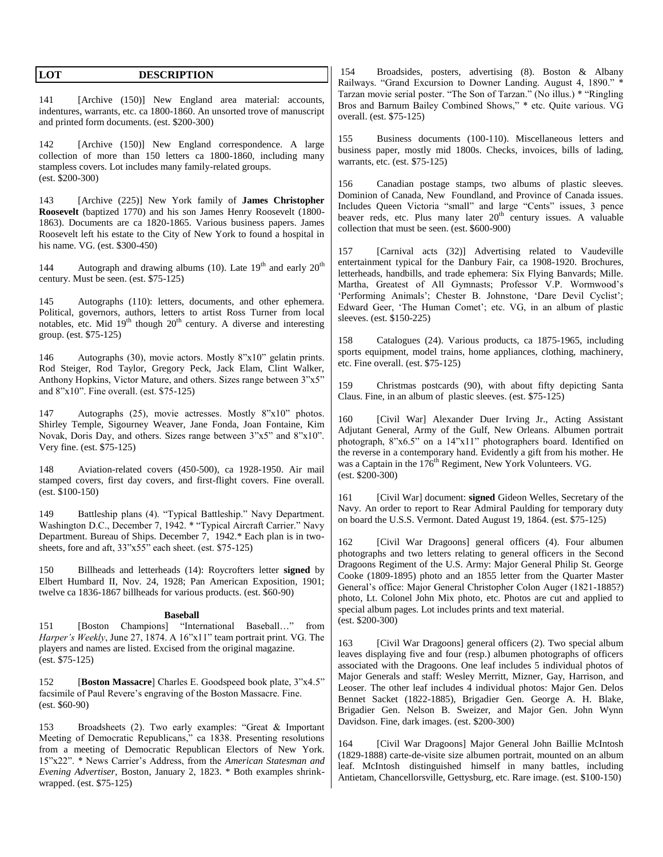| LOT | <b>DESCRIPTION</b> |
|-----|--------------------|
|     |                    |

141 [Archive (150)] New England area material: accounts, indentures, warrants, etc. ca 1800-1860. An unsorted trove of manuscript and printed form documents. (est. \$200-300)

142 [Archive (150)] New England correspondence. A large collection of more than 150 letters ca 1800-1860, including many stampless covers. Lot includes many family-related groups. (est. \$200-300)

143 [Archive (225)] New York family of **James Christopher Roosevelt** (baptized 1770) and his son James Henry Roosevelt (1800- 1863). Documents are ca 1820-1865. Various business papers. James Roosevelt left his estate to the City of New York to found a hospital in his name. VG. (est. \$300-450)

144 Autograph and drawing albums (10). Late  $19<sup>th</sup>$  and early  $20<sup>th</sup>$ century. Must be seen. (est. \$75-125)

145 Autographs (110): letters, documents, and other ephemera. Political, governors, authors, letters to artist Ross Turner from local notables, etc. Mid  $19<sup>th</sup>$  though  $20<sup>th</sup>$  century. A diverse and interesting group. (est. \$75-125)

146 Autographs (30), movie actors. Mostly 8"x10" gelatin prints. Rod Steiger, Rod Taylor, Gregory Peck, Jack Elam, Clint Walker, Anthony Hopkins, Victor Mature, and others. Sizes range between 3"x5" and 8"x10". Fine overall. (est. \$75-125)

147 Autographs (25), movie actresses. Mostly 8"x10" photos. Shirley Temple, Sigourney Weaver, Jane Fonda, Joan Fontaine, Kim Novak, Doris Day, and others. Sizes range between 3"x5" and 8"x10". Very fine. (est. \$75-125)

148 Aviation-related covers (450-500), ca 1928-1950. Air mail stamped covers, first day covers, and first-flight covers. Fine overall. (est. \$100-150)

149 Battleship plans (4). "Typical Battleship." Navy Department. Washington D.C., December 7, 1942. \* "Typical Aircraft Carrier." Navy Department. Bureau of Ships. December 7, 1942.\* Each plan is in twosheets, fore and aft,  $33"x55"$  each sheet. (est. \$75-125)

150 Billheads and letterheads (14): Roycrofters letter **signed** by Elbert Humbard II, Nov. 24, 1928; Pan American Exposition, 1901; twelve ca 1836-1867 billheads for various products. (est. \$60-90)

#### **Baseball**

151 [Boston Champions] "International Baseball…" from *Harper's Weekly*, June 27, 1874. A 16"x11" team portrait print. VG. The players and names are listed. Excised from the original magazine. (est. \$75-125)

152 [**Boston Massacre**] Charles E. Goodspeed book plate, 3"x4.5" facsimile of Paul Revere's engraving of the Boston Massacre. Fine. (est. \$60-90)

153 Broadsheets (2). Two early examples: "Great & Important Meeting of Democratic Republicans," ca 1838. Presenting resolutions from a meeting of Democratic Republican Electors of New York. 15"x22". \* News Carrier's Address, from the *American Statesman and Evening Advertiser*, Boston, January 2, 1823. \* Both examples shrinkwrapped. (est. \$75-125)

154 Broadsides, posters, advertising (8). Boston & Albany Railways. "Grand Excursion to Downer Landing. August 4, 1890." \* Tarzan movie serial poster. "The Son of Tarzan." (No illus.) \* "Ringling Bros and Barnum Bailey Combined Shows," \* etc. Quite various. VG overall. (est. \$75-125)

155 Business documents (100-110). Miscellaneous letters and business paper, mostly mid 1800s. Checks, invoices, bills of lading, warrants, etc. (est. \$75-125)

156 Canadian postage stamps, two albums of plastic sleeves. Dominion of Canada, New Foundland, and Province of Canada issues. Includes Queen Victoria "small" and large "Cents" issues, 3 pence beaver reds, etc. Plus many later  $20<sup>th</sup>$  century issues. A valuable collection that must be seen. (est. \$600-900)

157 [Carnival acts (32)] Advertising related to Vaudeville entertainment typical for the Danbury Fair, ca 1908-1920. Brochures, letterheads, handbills, and trade ephemera: Six Flying Banvards; Mille. Martha, Greatest of All Gymnasts; Professor V.P. Wormwood's 'Performing Animals'; Chester B. Johnstone, 'Dare Devil Cyclist'; Edward Geer, 'The Human Comet'; etc. VG, in an album of plastic sleeves. (est. \$150-225)

158 Catalogues (24). Various products, ca 1875-1965, including sports equipment, model trains, home appliances, clothing, machinery, etc. Fine overall. (est. \$75-125)

159 Christmas postcards (90), with about fifty depicting Santa Claus. Fine, in an album of plastic sleeves. (est. \$75-125)

160 [Civil War] Alexander Duer Irving Jr., Acting Assistant Adjutant General, Army of the Gulf, New Orleans. Albumen portrait photograph, 8"x6.5" on a 14"x11" photographers board. Identified on the reverse in a contemporary hand. Evidently a gift from his mother. He was a Captain in the  $176<sup>th</sup>$  Regiment, New York Volunteers. VG. (est. \$200-300)

161 [Civil War] document: **signed** Gideon Welles, Secretary of the Navy. An order to report to Rear Admiral Paulding for temporary duty on board the U.S.S. Vermont. Dated August 19, 1864. (est. \$75-125)

162 [Civil War Dragoons] general officers (4). Four albumen photographs and two letters relating to general officers in the Second Dragoons Regiment of the U.S. Army: Major General Philip St. George Cooke (1809-1895) photo and an 1855 letter from the Quarter Master General's office: Major General Christopher Colon Auger (1821-1885?) photo, Lt. Colonel John Mix photo, etc. Photos are cut and applied to special album pages. Lot includes prints and text material. (est. \$200-300)

163 [Civil War Dragoons] general officers (2). Two special album leaves displaying five and four (resp.) albumen photographs of officers associated with the Dragoons. One leaf includes 5 individual photos of Major Generals and staff: Wesley Merritt, Mizner, Gay, Harrison, and Leoser. The other leaf includes 4 individual photos: Major Gen. Delos Bennet Sacket (1822-1885), Brigadier Gen. George A. H. Blake, Brigadier Gen. Nelson B. Sweizer, and Major Gen. John Wynn Davidson. Fine, dark images. (est. \$200-300)

164 [Civil War Dragoons] Major General John Baillie McIntosh (1829-1888) carte-de-visite size albumen portrait, mounted on an album leaf. McIntosh distinguished himself in many battles, including Antietam, Chancellorsville, Gettysburg, etc. Rare image. (est. \$100-150)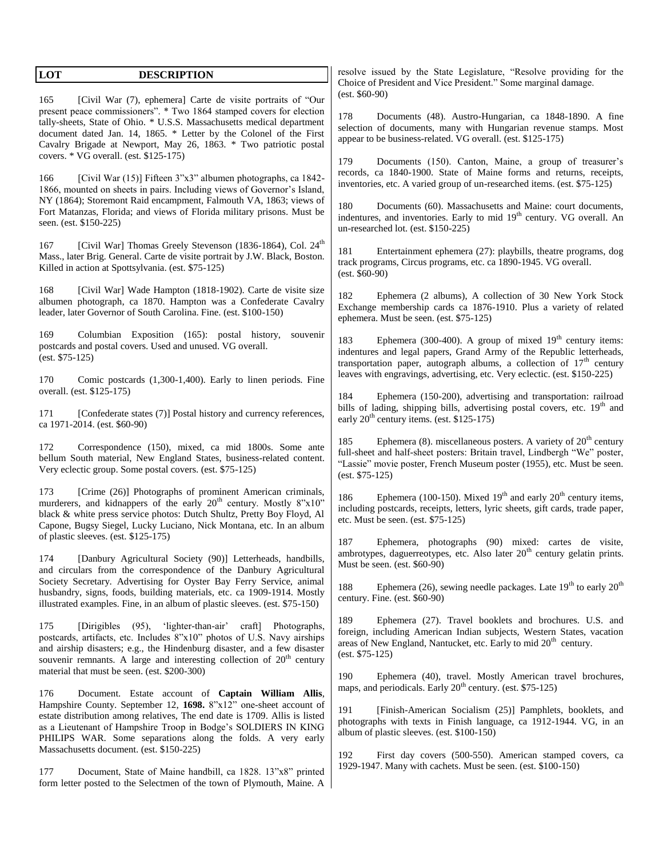| LOT<br><b>DESCRIPTION</b>                                                                                                                                                                                                                                                                                                                                                                                | resolve issued by the State Legislature, "Resolve providing for the                                                                                                                                                                                                                                                                             |
|----------------------------------------------------------------------------------------------------------------------------------------------------------------------------------------------------------------------------------------------------------------------------------------------------------------------------------------------------------------------------------------------------------|-------------------------------------------------------------------------------------------------------------------------------------------------------------------------------------------------------------------------------------------------------------------------------------------------------------------------------------------------|
|                                                                                                                                                                                                                                                                                                                                                                                                          | Choice of President and Vice President." Some marginal damage.<br>$(est. $60-90)$                                                                                                                                                                                                                                                               |
| 165<br>[Civil War (7), ephemera] Carte de visite portraits of "Our<br>present peace commissioners". * Two 1864 stamped covers for election<br>tally-sheets, State of Ohio. * U.S.S. Massachusetts medical department<br>document dated Jan. 14, 1865. * Letter by the Colonel of the First<br>Cavalry Brigade at Newport, May 26, 1863. * Two patriotic postal<br>covers. * VG overall. (est. \$125-175) | 178<br>Documents (48). Austro-Hungarian, ca 1848-1890. A fine<br>selection of documents, many with Hungarian revenue stamps. Most<br>appear to be business-related. VG overall. (est. \$125-175)<br>179<br>Documents (150). Canton, Maine, a group of treasurer's                                                                               |
| [Civil War (15)] Fifteen 3"x3" albumen photographs, ca 1842-<br>166<br>1866, mounted on sheets in pairs. Including views of Governor's Island,<br>NY (1864); Storemont Raid encampment, Falmouth VA, 1863; views of<br>Fort Matanzas, Florida; and views of Florida military prisons. Must be<br>seen. (est. \$150-225)                                                                                  | records, ca 1840-1900. State of Maine forms and returns, receipts,<br>inventories, etc. A varied group of un-researched items. (est. \$75-125)<br>180<br>Documents (60). Massachusetts and Maine: court documents,<br>indentures, and inventories. Early to mid 19 <sup>th</sup> century. VG overall. An<br>un-researched lot. (est. \$150-225) |
| [Civil War] Thomas Greely Stevenson (1836-1864), Col. 24 <sup>th</sup><br>167<br>Mass., later Brig. General. Carte de visite portrait by J.W. Black, Boston.<br>Killed in action at Spottsylvania. (est. \$75-125)                                                                                                                                                                                       | Entertainment ephemera (27): playbills, theatre programs, dog<br>181<br>track programs, Circus programs, etc. ca 1890-1945. VG overall.<br>$(est. $60-90)$                                                                                                                                                                                      |
| 168<br>[Civil War] Wade Hampton (1818-1902). Carte de visite size<br>albumen photograph, ca 1870. Hampton was a Confederate Cavalry<br>leader, later Governor of South Carolina. Fine. (est. \$100-150)                                                                                                                                                                                                  | 182<br>Ephemera (2 albums), A collection of 30 New York Stock<br>Exchange membership cards ca 1876-1910. Plus a variety of related<br>ephemera. Must be seen. (est. \$75-125)                                                                                                                                                                   |
| 169<br>Columbian Exposition (165): postal history,<br>souvenir<br>postcards and postal covers. Used and unused. VG overall.<br>$(est. $75-125)$                                                                                                                                                                                                                                                          | Ephemera (300-400). A group of mixed $19th$ century items:<br>183<br>indentures and legal papers, Grand Army of the Republic letterheads,<br>transportation paper, autograph albums, a collection of $17th$ century<br>leaves with engravings, advertising, etc. Very eclectic. (est. \$150-225)                                                |
| Comic postcards (1,300-1,400). Early to linen periods. Fine<br>170<br>overall. (est. \$125-175)                                                                                                                                                                                                                                                                                                          | 184<br>Ephemera (150-200), advertising and transportation: railroad                                                                                                                                                                                                                                                                             |
| [Confederate states (7)] Postal history and currency references,<br>171<br>ca 1971-2014. (est. \$60-90)                                                                                                                                                                                                                                                                                                  | bills of lading, shipping bills, advertising postal covers, etc. 19 <sup>th</sup> and<br>early $20^{th}$ century items. (est. \$125-175)                                                                                                                                                                                                        |
| Correspondence (150), mixed, ca mid 1800s. Some ante<br>172<br>bellum South material, New England States, business-related content.<br>Very eclectic group. Some postal covers. (est. \$75-125)                                                                                                                                                                                                          | Ephemera (8). miscellaneous posters. A variety of $20th$ century<br>185<br>full-sheet and half-sheet posters: Britain travel, Lindbergh "We" poster,<br>"Lassie" movie poster, French Museum poster (1955), etc. Must be seen.<br>$(est. $75-125)$                                                                                              |
| [Crime (26)] Photographs of prominent American criminals,<br>173<br>murderers, and kidnappers of the early 20 <sup>th</sup> century. Mostly 8"x10"<br>black & white press service photos: Dutch Shultz, Pretty Boy Floyd, Al<br>Capone, Bugsy Siegel, Lucky Luciano, Nick Montana, etc. In an album<br>of plastic sleeves. (est. \$125-175)                                                              | Ephemera (100-150). Mixed $19th$ and early $20th$ century items,<br>186<br>including postcards, receipts, letters, lyric sheets, gift cards, trade paper,<br>etc. Must be seen. (est. \$75-125)                                                                                                                                                 |
| 174<br>[Danbury Agricultural Society (90)] Letterheads, handbills,<br>and circulars from the correspondence of the Danbury Agricultural                                                                                                                                                                                                                                                                  | 187<br>Ephemera, photographs (90) mixed: cartes de visite,<br>ambrotypes, daguerreotypes, etc. Also later 20 <sup>th</sup> century gelatin prints.<br>Must be seen. (est. \$60-90)                                                                                                                                                              |
| Society Secretary. Advertising for Oyster Bay Ferry Service, animal<br>husbandry, signs, foods, building materials, etc. ca 1909-1914. Mostly<br>illustrated examples. Fine, in an album of plastic sleeves. (est. \$75-150)                                                                                                                                                                             | Ephemera (26), sewing needle packages. Late $19th$ to early $20th$<br>188<br>century. Fine. (est. \$60-90)                                                                                                                                                                                                                                      |
| 175<br>[Dirigibles]<br>$(95)$ ,<br>'lighter-than-air'<br>craft] Photographs,<br>postcards, artifacts, etc. Includes 8"x10" photos of U.S. Navy airships<br>and airship disasters; e.g., the Hindenburg disaster, and a few disaster<br>souvenir remnants. A large and interesting collection of $20th$ century<br>material that must be seen. (est. \$200-300)                                           | 189<br>Ephemera (27). Travel booklets and brochures. U.S. and<br>foreign, including American Indian subjects, Western States, vacation<br>areas of New England, Nantucket, etc. Early to mid 20 <sup>th</sup> century.<br>$(est. $75-125)$                                                                                                      |
| 176<br>Document. Estate account of Captain William Allis,                                                                                                                                                                                                                                                                                                                                                | 190<br>Ephemera (40), travel. Mostly American travel brochures,<br>maps, and periodicals. Early 20 <sup>th</sup> century. (est. \$75-125)                                                                                                                                                                                                       |
| Hampshire County. September 12, 1698. 8"x12" one-sheet account of<br>estate distribution among relatives, The end date is 1709. Allis is listed<br>as a Lieutenant of Hampshire Troop in Bodge's SOLDIERS IN KING<br>PHILIPS WAR. Some separations along the folds. A very early<br>Massachusetts document. (est. \$150-225)                                                                             | 191<br>[Finish-American Socialism (25)] Pamphlets, booklets, and<br>photographs with texts in Finish language, ca 1912-1944. VG, in an<br>album of plastic sleeves. (est. \$100-150)                                                                                                                                                            |
| Document, State of Maine handbill, ca 1828. 13"x8" printed<br>177<br>form letter posted to the Selectmen of the town of Plymouth, Maine. A                                                                                                                                                                                                                                                               | 192<br>First day covers (500-550). American stamped covers, ca<br>1929-1947. Many with cachets. Must be seen. (est. \$100-150)                                                                                                                                                                                                                  |
|                                                                                                                                                                                                                                                                                                                                                                                                          |                                                                                                                                                                                                                                                                                                                                                 |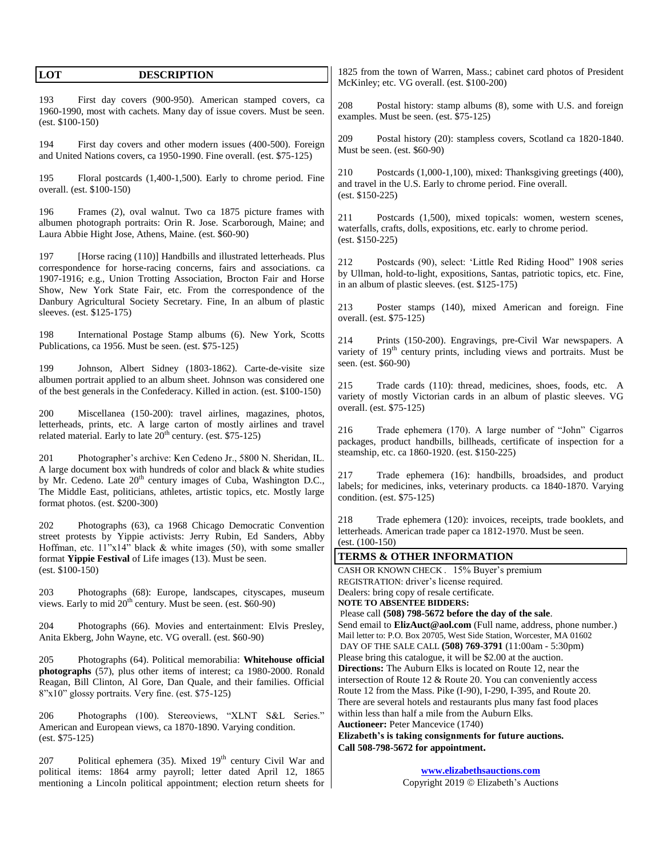| LOT                                                                                                                                                                                                                                                                                                                                             | 1825 from the town of Warren, Mass.; cabinet card photos of President                                                                                                                                                                                                   |  |  |
|-------------------------------------------------------------------------------------------------------------------------------------------------------------------------------------------------------------------------------------------------------------------------------------------------------------------------------------------------|-------------------------------------------------------------------------------------------------------------------------------------------------------------------------------------------------------------------------------------------------------------------------|--|--|
| <b>DESCRIPTION</b>                                                                                                                                                                                                                                                                                                                              | McKinley; etc. VG overall. (est. \$100-200)                                                                                                                                                                                                                             |  |  |
| 193<br>First day covers (900-950). American stamped covers, ca<br>1960-1990, most with cachets. Many day of issue covers. Must be seen.<br>$(est. \$100-150)$                                                                                                                                                                                   | 208<br>Postal history: stamp albums (8), some with U.S. and foreign<br>examples. Must be seen. (est. \$75-125)                                                                                                                                                          |  |  |
| 194                                                                                                                                                                                                                                                                                                                                             | 209                                                                                                                                                                                                                                                                     |  |  |
| First day covers and other modern issues (400-500). Foreign                                                                                                                                                                                                                                                                                     | Postal history (20): stampless covers, Scotland ca 1820-1840.                                                                                                                                                                                                           |  |  |
| and United Nations covers, ca 1950-1990. Fine overall. (est. \$75-125)                                                                                                                                                                                                                                                                          | Must be seen. (est. \$60-90)                                                                                                                                                                                                                                            |  |  |
| 195<br>Floral postcards (1,400-1,500). Early to chrome period. Fine<br>overall. (est. \$100-150)                                                                                                                                                                                                                                                | 210<br>Postcards (1,000-1,100), mixed: Thanksgiving greetings (400),<br>and travel in the U.S. Early to chrome period. Fine overall.<br>$(est. $150-225)$                                                                                                               |  |  |
| Frames (2), oval walnut. Two ca 1875 picture frames with                                                                                                                                                                                                                                                                                        | 211                                                                                                                                                                                                                                                                     |  |  |
| 196                                                                                                                                                                                                                                                                                                                                             | Postcards (1,500), mixed topicals: women, western scenes,                                                                                                                                                                                                               |  |  |
| albumen photograph portraits: Orin R. Jose. Scarborough, Maine; and                                                                                                                                                                                                                                                                             | waterfalls, crafts, dolls, expositions, etc. early to chrome period.                                                                                                                                                                                                    |  |  |
| Laura Abbie Hight Jose, Athens, Maine. (est. \$60-90)                                                                                                                                                                                                                                                                                           | $(est. \$150-225)$                                                                                                                                                                                                                                                      |  |  |
| 197<br>[Horse racing (110)] Handbills and illustrated letterheads. Plus<br>correspondence for horse-racing concerns, fairs and associations. ca<br>1907-1916; e.g., Union Trotting Association, Brocton Fair and Horse<br>Show, New York State Fair, etc. From the correspondence of the                                                        | Postcards (90), select: 'Little Red Riding Hood'' 1908 series<br>212<br>by Ullman, hold-to-light, expositions, Santas, patriotic topics, etc. Fine,<br>in an album of plastic sleeves. (est. \$125-175)                                                                 |  |  |
| Danbury Agricultural Society Secretary. Fine, In an album of plastic<br>sleeves. (est. \$125-175)                                                                                                                                                                                                                                               | 213<br>Poster stamps (140), mixed American and foreign. Fine<br>overall. (est. \$75-125)                                                                                                                                                                                |  |  |
| 198                                                                                                                                                                                                                                                                                                                                             | Prints (150-200). Engravings, pre-Civil War newspapers. A                                                                                                                                                                                                               |  |  |
| International Postage Stamp albums (6). New York, Scotts                                                                                                                                                                                                                                                                                        | 214                                                                                                                                                                                                                                                                     |  |  |
| Publications, ca 1956. Must be seen. (est. \$75-125)                                                                                                                                                                                                                                                                                            | variety of 19 <sup>th</sup> century prints, including views and portraits. Must be                                                                                                                                                                                      |  |  |
| 199                                                                                                                                                                                                                                                                                                                                             | seen. (est. \$60-90)                                                                                                                                                                                                                                                    |  |  |
| Johnson, Albert Sidney (1803-1862). Carte-de-visite size                                                                                                                                                                                                                                                                                        | 215                                                                                                                                                                                                                                                                     |  |  |
| albumen portrait applied to an album sheet. Johnson was considered one                                                                                                                                                                                                                                                                          | Trade cards (110): thread, medicines, shoes, foods, etc. A                                                                                                                                                                                                              |  |  |
| of the best generals in the Confederacy. Killed in action. (est. \$100-150)                                                                                                                                                                                                                                                                     | variety of mostly Victorian cards in an album of plastic sleeves. VG                                                                                                                                                                                                    |  |  |
| 200                                                                                                                                                                                                                                                                                                                                             | overall. (est. \$75-125)                                                                                                                                                                                                                                                |  |  |
| Miscellanea (150-200): travel airlines, magazines, photos,                                                                                                                                                                                                                                                                                      | 216                                                                                                                                                                                                                                                                     |  |  |
| letterheads, prints, etc. A large carton of mostly airlines and travel                                                                                                                                                                                                                                                                          | Trade ephemera (170). A large number of "John" Cigarros                                                                                                                                                                                                                 |  |  |
| related material. Early to late 20 <sup>th</sup> century. (est. \$75-125)                                                                                                                                                                                                                                                                       | packages, product handbills, billheads, certificate of inspection for a                                                                                                                                                                                                 |  |  |
| Photographer's archive: Ken Cedeno Jr., 5800 N. Sheridan, IL.<br>201<br>A large document box with hundreds of color and black & white studies<br>by Mr. Cedeno. Late 20 <sup>th</sup> century images of Cuba, Washington D.C.,<br>The Middle East, politicians, athletes, artistic topics, etc. Mostly large<br>format photos. (est. \$200-300) | steamship, etc. ca 1860-1920. (est. \$150-225)<br>Trade ephemera (16): handbills, broadsides, and product<br>217<br>labels; for medicines, inks, veterinary products. ca 1840-1870. Varying<br>condition. (est. \$75-125)                                               |  |  |
| 202                                                                                                                                                                                                                                                                                                                                             | 218                                                                                                                                                                                                                                                                     |  |  |
| Photographs (63), ca 1968 Chicago Democratic Convention                                                                                                                                                                                                                                                                                         | Trade ephemera (120): invoices, receipts, trade booklets, and                                                                                                                                                                                                           |  |  |
| street protests by Yippie activists: Jerry Rubin, Ed Sanders, Abby                                                                                                                                                                                                                                                                              | letterheads. American trade paper ca 1812-1970. Must be seen.                                                                                                                                                                                                           |  |  |
| Hoffman, etc. $11"x14"$ black & white images (50), with some smaller                                                                                                                                                                                                                                                                            | $(est. (100-150))$                                                                                                                                                                                                                                                      |  |  |
| format Yippie Festival of Life images (13). Must be seen.                                                                                                                                                                                                                                                                                       | <b>TERMS &amp; OTHER INFORMATION</b><br>CASH OR KNOWN CHECK . 15% Buyer's premium                                                                                                                                                                                       |  |  |
| $(est. \$100-150)$<br>203<br>Photographs (68): Europe, landscapes, cityscapes, museum<br>views. Early to mid $20th$ century. Must be seen. (est. \$60-90)                                                                                                                                                                                       | REGISTRATION: driver's license required.<br>Dealers: bring copy of resale certificate.<br><b>NOTE TO ABSENTEE BIDDERS:</b>                                                                                                                                              |  |  |
| 204<br>Photographs (66). Movies and entertainment: Elvis Presley,<br>Anita Ekberg, John Wayne, etc. VG overall. (est. \$60-90)                                                                                                                                                                                                                  | Please call (508) 798-5672 before the day of the sale.<br>Send email to <b>ElizAuct@aol.com</b> (Full name, address, phone number.)<br>Mail letter to: P.O. Box 20705, West Side Station, Worcester, MA 01602<br>DAY OF THE SALE CALL (508) 769-3791 (11:00am - 5:30pm) |  |  |
| 205                                                                                                                                                                                                                                                                                                                                             | Please bring this catalogue, it will be \$2.00 at the auction.                                                                                                                                                                                                          |  |  |
| Photographs (64). Political memorabilia: Whitehouse official                                                                                                                                                                                                                                                                                    | <b>Directions:</b> The Auburn Elks is located on Route 12, near the                                                                                                                                                                                                     |  |  |
| photographs (57), plus other items of interest; ca 1980-2000. Ronald                                                                                                                                                                                                                                                                            | intersection of Route 12 & Route 20. You can conveniently access                                                                                                                                                                                                        |  |  |
| Reagan, Bill Clinton, Al Gore, Dan Quale, and their families. Official                                                                                                                                                                                                                                                                          | Route 12 from the Mass. Pike (I-90), I-290, I-395, and Route 20.                                                                                                                                                                                                        |  |  |
| 8"x10" glossy portraits. Very fine. (est. \$75-125)                                                                                                                                                                                                                                                                                             | There are several hotels and restaurants plus many fast food places                                                                                                                                                                                                     |  |  |
| 206                                                                                                                                                                                                                                                                                                                                             | within less than half a mile from the Auburn Elks.                                                                                                                                                                                                                      |  |  |
| Photographs (100). Stereoviews, "XLNT S&L Series."                                                                                                                                                                                                                                                                                              | <b>Auctioneer: Peter Mancevice (1740)</b>                                                                                                                                                                                                                               |  |  |
| American and European views, ca 1870-1890. Varying condition.                                                                                                                                                                                                                                                                                   | Elizabeth's is taking consignments for future auctions.                                                                                                                                                                                                                 |  |  |
| $(est. $75-125)$                                                                                                                                                                                                                                                                                                                                | Call 508-798-5672 for appointment.                                                                                                                                                                                                                                      |  |  |
| Political ephemera (35). Mixed 19 <sup>th</sup> century Civil War and<br>207<br>political items: 1864 army payroll; letter dated April 12, 1865<br>mentioning a Lincoln political appointment; election return sheets for                                                                                                                       | www.elizabethsauctions.com<br>Copyright 2019 © Elizabeth's Auctions                                                                                                                                                                                                     |  |  |